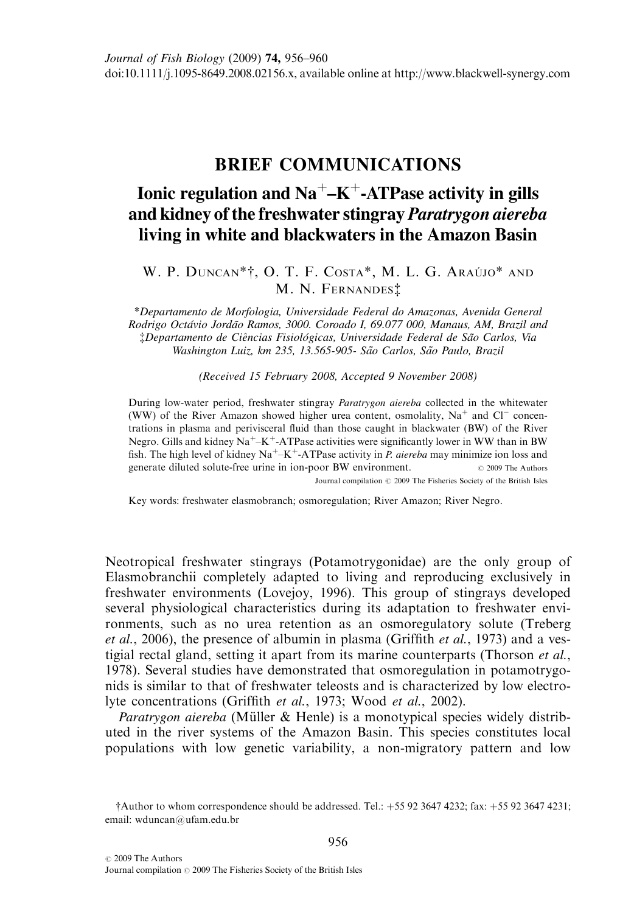## BRIEF COMMUNICATIONS

## Ionic regulation and  $Na^+ - K^+$ -ATPase activity in gills and kidney of the freshwater stingray Paratrygon aiereba living in white and blackwaters in the Amazon Basin

## W. P. DUNCAN\*†, O. T. F. COSTA\*, M. L. G. ARAÚJO\* AND M. N. FERNANDES‡

\*Departamento de Morfologia, Universidade Federal do Amazonas, Avenida General Rodrigo Octávio Jordão Ramos, 3000. Coroado I, 69.077 000, Manaus, AM, Brazil and ‡Departamento de Ciencias Fisiolo *^* ´gicas, Universidade Federal de Sao Carlos, Via ˜ Washington Luiz, km 235, 13.565-905- São Carlos, São Paulo, Brazil

(Received 15 February 2008, Accepted 9 November 2008)

During low-water period, freshwater stingray Paratrygon aiereba collected in the whitewater (WW) of the River Amazon showed higher urea content, osmolality,  $Na<sup>+</sup>$  and Cl<sup>-</sup> concentrations in plasma and perivisceral fluid than those caught in blackwater (BW) of the River Negro. Gills and kidney  $Na^+ - K^+$ -ATPase activities were significantly lower in WW than in BW fish. The high level of kidney  $Na^+ - K^+$ -ATPase activity in *P. aiereba* may minimize ion loss and generate diluted solute-free urine in ion-poor BW environment.  $\circ$  2009 The Authors Journal compilation  $\oslash$  2009 The Fisheries Society of the British Isles

Key words: freshwater elasmobranch; osmoregulation; River Amazon; River Negro.

Neotropical freshwater stingrays (Potamotrygonidae) are the only group of Elasmobranchii completely adapted to living and reproducing exclusively in freshwater environments (Lovejoy, 1996). This group of stingrays developed several physiological characteristics during its adaptation to freshwater environments, such as no urea retention as an osmoregulatory solute (Treberg *et al.*, 2006), the presence of albumin in plasma (Griffith *et al.*, 1973) and a vestigial rectal gland, setting it apart from its marine counterparts (Thorson et al., 1978). Several studies have demonstrated that osmoregulation in potamotrygonids is similar to that of freshwater teleosts and is characterized by low electrolyte concentrations (Griffith et al., 1973; Wood et al., 2002).

*Paratrygon aiereba* (Müller & Henle) is a monotypical species widely distributed in the river systems of the Amazon Basin. This species constitutes local populations with low genetic variability, a non-migratory pattern and low

 $\dagger$ Author to whom correspondence should be addressed. Tel.:  $+55$  92 3647 4232; fax:  $+55$  92 3647 4231; email: wduncan@ufam.edu.br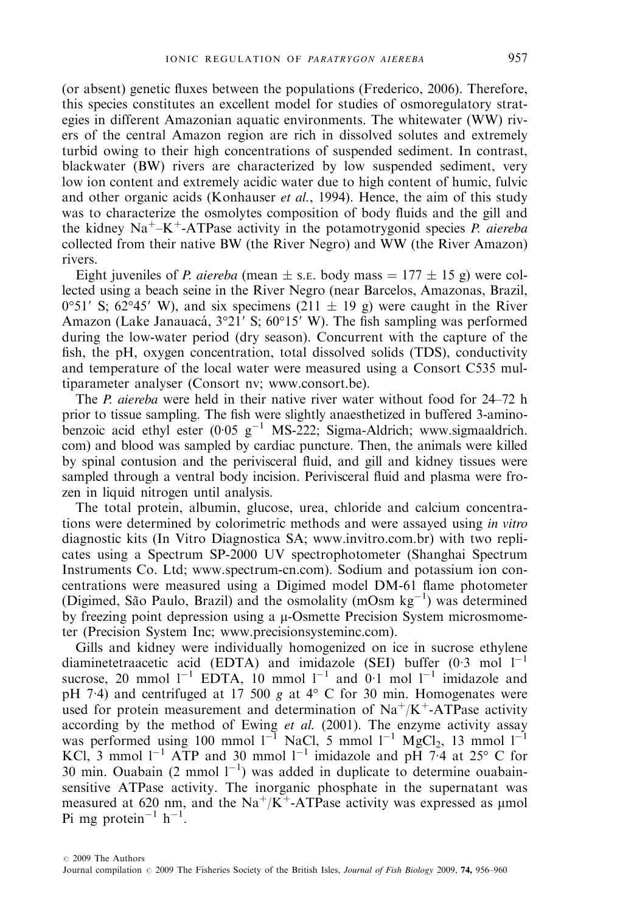(or absent) genetic fluxes between the populations (Frederico, 2006). Therefore, this species constitutes an excellent model for studies of osmoregulatory strategies in different Amazonian aquatic environments. The whitewater (WW) rivers of the central Amazon region are rich in dissolved solutes and extremely turbid owing to their high concentrations of suspended sediment. In contrast, blackwater (BW) rivers are characterized by low suspended sediment, very low ion content and extremely acidic water due to high content of humic, fulvic and other organic acids (Konhauser *et al.*, 1994). Hence, the aim of this study was to characterize the osmolytes composition of body fluids and the gill and the kidney  $Na^+ - K^+$ -ATPase activity in the potamotrygonid species P. aiereba collected from their native BW (the River Negro) and WW (the River Amazon) rivers.

Eight juveniles of *P. aiereba* (mean  $\pm$  s. E. body mass = 177  $\pm$  15 g) were collected using a beach seine in the River Negro (near Barcelos, Amazonas, Brazil,  $0°51'$  S; 62°45′ W), and six specimens (211  $\pm$  19 g) were caught in the River Amazon (Lake Janauacá,  $3^{\circ}21'$  S; 60°15′ W). The fish sampling was performed during the low-water period (dry season). Concurrent with the capture of the fish, the pH, oxygen concentration, total dissolved solids (TDS), conductivity and temperature of the local water were measured using a Consort C535 multiparameter analyser (Consort nv; www.consort.be).

The *P. aiereba* were held in their native river water without food for 24–72 h prior to tissue sampling. The fish were slightly anaesthetized in buffered 3-aminobenzoic acid ethyl ester  $(0.05 \text{ g}^{-1} \text{ MS-222}; \text{Sigma-Aldrich};$  www.sigmaaldrich. com) and blood was sampled by cardiac puncture. Then, the animals were killed by spinal contusion and the perivisceral fluid, and gill and kidney tissues were sampled through a ventral body incision. Perivisceral fluid and plasma were frozen in liquid nitrogen until analysis.

The total protein, albumin, glucose, urea, chloride and calcium concentrations were determined by colorimetric methods and were assayed using in vitro diagnostic kits (In Vitro Diagnostica SA; www.invitro.com.br) with two replicates using a Spectrum SP-2000 UV spectrophotometer (Shanghai Spectrum Instruments Co. Ltd; www.spectrum-cn.com). Sodium and potassium ion concentrations were measured using a Digimed model DM-61 flame photometer (Digimed, São Paulo, Brazil) and the osmolality (mOsm  $kg^{-1}$ ) was determined by freezing point depression using a  $\mu$ -Osmette Precision System microsmometer (Precision System Inc; www.precisionsysteminc.com).

Gills and kidney were individually homogenized on ice in sucrose ethylene diaminetetraacetic acid (EDTA) and imidazole (SEI) buffer  $(0.3 \text{ mol } 1^{-1}$ sucrose, 20 mmol  $1^{-1}$  EDTA, 10 mmol  $1^{-1}$  and 0.1 mol  $1^{-1}$  imidazole and pH 7.4) and centrifuged at 17 500 g at  $4^{\circ}$  C for 30 min. Homogenates were used for protein measurement and determination of  $Na^{+}/K^{+}$ -ATPase activity according by the method of Ewing et al. (2001). The enzyme activity assay was performed using 100 mmol  $1^{-1}$  NaCl, 5 mmol  $1^{-1}$  MgCl<sub>2</sub>, 13 mmol  $1^{-1}$ KCl, 3 mmol  $1^{-1}$  ATP and 30 mmol  $1^{-1}$  imidazole and pH 7.4 at 25° C for 30 min. Ouabain (2 mmol  $1^{-1}$ ) was added in duplicate to determine ouabainsensitive ATPase activity. The inorganic phosphate in the supernatant was measured at 620 nm, and the  $Na^{+}/K^{+}$ -ATPase activity was expressed as µmol Pi mg protein<sup>-1</sup> h<sup>-1</sup>.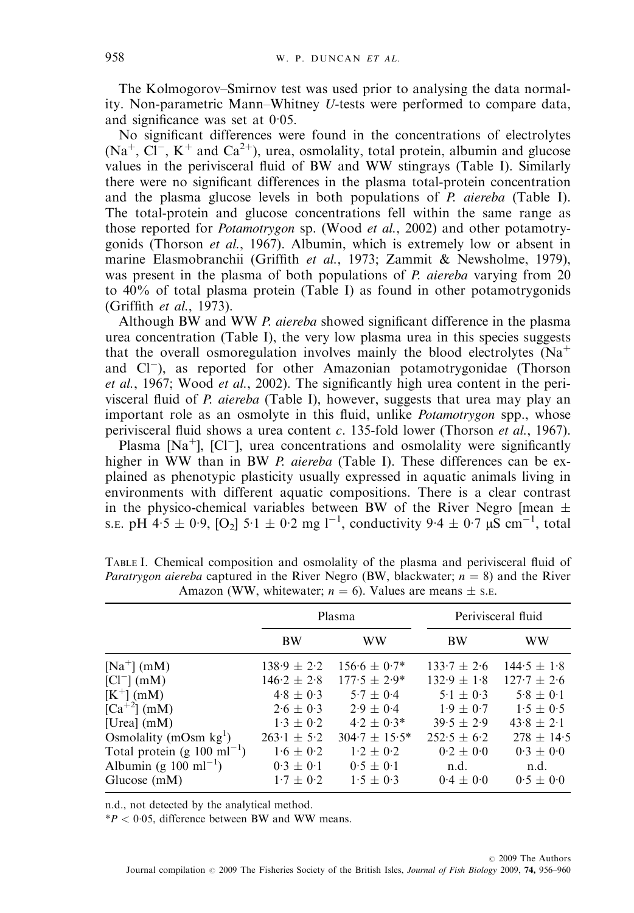The Kolmogorov–Smirnov test was used prior to analysing the data normality. Non-parametric Mann–Whitney U-tests were performed to compare data, and significance was set at  $0.05$ .

No significant differences were found in the concentrations of electrolytes  $(Na^+, CI^-, K^+$  and  $Ca^{2+}$ ), urea, osmolality, total protein, albumin and glucose values in the perivisceral fluid of BW and WW stingrays (Table I). Similarly there were no significant differences in the plasma total-protein concentration and the plasma glucose levels in both populations of  $P$ , *aiereba* (Table I). The total-protein and glucose concentrations fell within the same range as those reported for *Potamotrygon* sp. (Wood *et al.*, 2002) and other potamotrygonids (Thorson et al., 1967). Albumin, which is extremely low or absent in marine Elasmobranchii (Griffith et al., 1973; Zammit & Newsholme, 1979), was present in the plasma of both populations of P. aiereba varying from 20 to 40% of total plasma protein (Table I) as found in other potamotrygonids (Griffith et al., 1973).

Although BW and WW P. aiereba showed significant difference in the plasma urea concentration (Table I), the very low plasma urea in this species suggests that the overall osmoregulation involves mainly the blood electrolytes  $(Na<sup>+</sup>)$ and  $Cl^-$ ), as reported for other Amazonian potamotrygonidae (Thorson et al., 1967; Wood et al., 2002). The significantly high urea content in the perivisceral fluid of P. aiereba (Table I), however, suggests that urea may play an important role as an osmolyte in this fluid, unlike Potamotrygon spp., whose perivisceral fluid shows a urea content  $c$ . 135-fold lower (Thorson *et al.*, 1967).

Plasma  $[Na<sup>+</sup>]$ ,  $[Cl<sup>-</sup>]$ , urea concentrations and osmolality were significantly higher in WW than in BW P. aiereba (Table I). These differences can be explained as phenotypic plasticity usually expressed in aquatic animals living in environments with different aquatic compositions. There is a clear contrast in the physico-chemical variables between BW of the River Negro [mean  $\pm$ s.e. pH 4.5  $\pm$  0.9, [O<sub>2</sub>] 5.1  $\pm$  0.2 mg 1<sup>-1</sup>, conductivity 9.4  $\pm$  0.7  $\mu$ S cm<sup>-1</sup>, total

|                                          | Plasma          |                    | Perivisceral fluid |                 |
|------------------------------------------|-----------------|--------------------|--------------------|-----------------|
|                                          | BW              | WW                 | <b>BW</b>          | WW              |
| $[Na^+]$ (mM)                            | $138.9 \pm 2.2$ | $156.6 \pm 0.7*$   | $133.7 \pm 2.6$    | $144.5 \pm 1.8$ |
| $\left[Cl^{-}\right]$ (mM)               | $146.2 \pm 2.8$ | $177.5 \pm 2.9^*$  | $132.9 \pm 1.8$    | $127.7 \pm 2.6$ |
| $[K^+]$ (mM)                             | $4.8 \pm 0.3$   | $5.7 \pm 0.4$      | $5.1 \pm 0.3$      | $5.8 \pm 0.1$   |
| $[Ca^{+2}]$ (mM)                         | $2.6 \pm 0.3$   | $2.9 \pm 0.4$      | $1.9 \pm 0.7$      | $1.5 \pm 0.5$   |
| [Urea] $(mM)$                            | $1.3 \pm 0.2$   | $4.2 \pm 0.3*$     | $39.5 \pm 2.9$     | $43.8 \pm 2.1$  |
| Osmolality (mOsm $kg1$ )                 | $263.1 \pm 5.2$ | $304.7 \pm 15.5^*$ | $252.5 \pm 6.2$    | $278 \pm 14.5$  |
| Total protein (g $100 \text{ ml}^{-1}$ ) | $1.6 \pm 0.2$   | $1.2 \pm 0.2$      | $0.2 \pm 0.0$      | $0.3 \pm 0.0$   |
| Albumin (g $100 \text{ ml}^{-1}$ )       | $0.3 \pm 0.1$   | $0.5 \pm 0.1$      | n.d.               | n.d.            |
| Glucose $(mM)$                           | $1.7 \pm 0.2$   | $1.5 \pm 0.3$      | $0.4 \pm 0.0$      | $0.5 \pm 0.0$   |

TABLE I. Chemical composition and osmolality of the plasma and perivisceral fluid of *Paratrygon aiereba* captured in the River Negro (BW, blackwater;  $n = 8$ ) and the River Amazon (WW, whitewater;  $n = 6$ ). Values are means  $\pm$  s.e.

n.d., not detected by the analytical method.

 $*P < 0.05$ , difference between BW and WW means.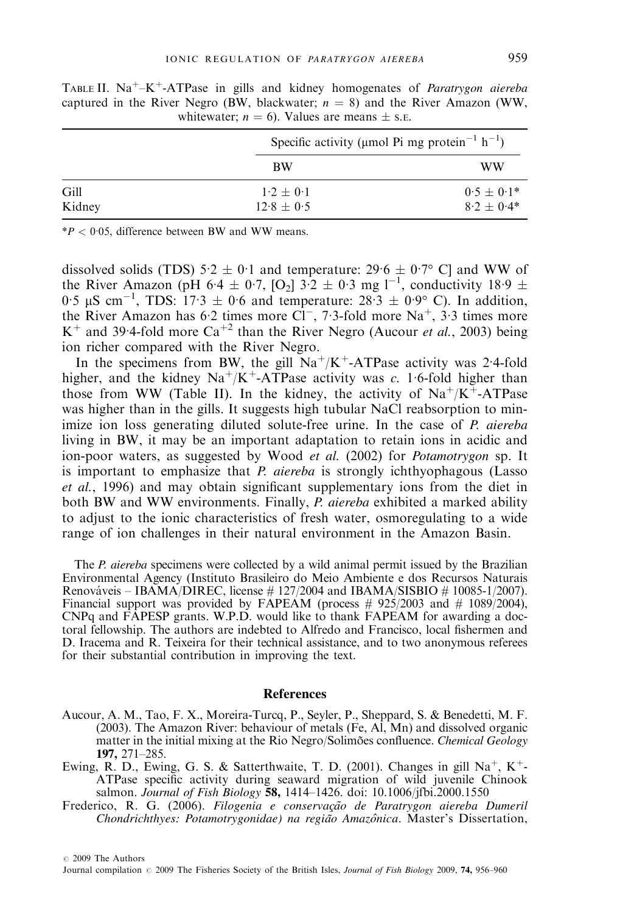|                |                                 | Specific activity (µmol Pi mg protein <sup>-1</sup> h <sup>-1</sup> ) |  |
|----------------|---------------------------------|-----------------------------------------------------------------------|--|
|                | <b>BW</b>                       | WW                                                                    |  |
| Gill<br>Kidney | $1.2 \pm 0.1$<br>$12.8 \pm 0.5$ | $0.5 \pm 0.1*$<br>$8.2 \pm 0.4*$                                      |  |

TABLE II.  $Na^+–K^+$ -ATPase in gills and kidney homogenates of *Paratrygon aiereba* captured in the River Negro (BW, blackwater;  $n = 8$ ) and the River Amazon (WW, whitewater;  $n = 6$ ). Values are means  $\pm$  s. E.

 $*P < 0.05$ , difference between BW and WW means.

dissolved solids (TDS)  $5.2 \pm 0.1$  and temperature:  $29.6 \pm 0.7$ ° C] and WW of the River Amazon (pH 6.4  $\pm$  0.7, [O<sub>2</sub>] 3.2  $\pm$  0.3 mg l<sup>-1</sup>, conductivity 18.9  $\pm$ 0.5  $\mu$ S cm<sup>-1</sup>, TDS: 17.3  $\pm$  0.6 and temperature: 28.3  $\pm$  0.9° C). In addition, the River Amazon has 6.2 times more  $CI^-$ , 7.3-fold more Na<sup>+</sup>, 3.3 times more K<sup>+</sup> and 39.4-fold more Ca<sup>+2</sup> than the River Negro (Aucour *et al.*, 2003) being ion richer compared with the River Negro.

In the specimens from BW, the gill  $Na^{+}/K^{+}$ -ATPase activity was 2.4-fold higher, and the kidney Na<sup>+</sup>/K<sup>+</sup>-ATPase activity was c. 1.6-fold higher than those from WW (Table II). In the kidney, the activity of  $Na^{+}/K^{+}$ -ATPase was higher than in the gills. It suggests high tubular NaCl reabsorption to minimize ion loss generating diluted solute-free urine. In the case of P. aiereba living in BW, it may be an important adaptation to retain ions in acidic and ion-poor waters, as suggested by Wood et al. (2002) for Potamotrygon sp. It is important to emphasize that *P. aiereba* is strongly ichthyophagous (Lasso et al., 1996) and may obtain significant supplementary ions from the diet in both BW and WW environments. Finally, P. aiereba exhibited a marked ability to adjust to the ionic characteristics of fresh water, osmoregulating to a wide range of ion challenges in their natural environment in the Amazon Basin.

The *P. aiereba* specimens were collected by a wild animal permit issued by the Brazilian Environmental Agency (Instituto Brasileiro do Meio Ambiente e dos Recursos Naturais Renováveis – IBAMA/DIREC, license  $\#$  127/2004 and IBAMA/SISBIO  $\#$  10085-1/2007). Financial support was provided by FAPEAM (process  $\#$  925/2003 and  $\#$  1089/2004), CNPq and FAPESP grants. W.P.D. would like to thank FAPEAM for awarding a doctoral fellowship. The authors are indebted to Alfredo and Francisco, local fishermen and D. Iracema and R. Teixeira for their technical assistance, and to two anonymous referees for their substantial contribution in improving the text.

## References

- Aucour, A. M., Tao, F. X., Moreira-Turcq, P., Seyler, P., Sheppard, S. & Benedetti, M. F. (2003). The Amazon River: behaviour of metals (Fe, Al, Mn) and dissolved organic matter in the initial mixing at the Rio Negro/Solimões confluence. *Chemical Geology* 197, 271–285.
- Ewing, R. D., Ewing, G. S. & Satterthwaite, T. D. (2001). Changes in gill Na<sup>+</sup>, K<sup>+</sup>-ATPase specific activity during seaward migration of wild juvenile Chinook salmon. Journal of Fish Biology 58, 1414–1426. doi: 10.1006/jfbi.2000.1550
- Frederico, R. G. (2006). Filogenia e conservação de Paratrygon aiereba Dumeril Chondrichthyes: Potamotrygonidae) na região Amazônica. Master's Dissertation,